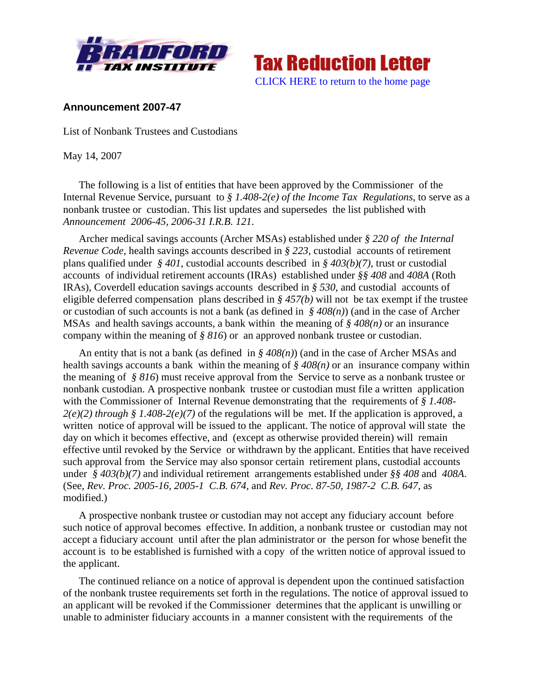



#### **Announcement 2007-47**

List of Nonbank Trustees and Custodians

May 14, 2007

The following is a list of entities that have been approved by the Commissioner of the Internal Revenue Service, pursuant to *§ 1.408-2(e) of the Income Tax Regulations*, to serve as a nonbank trustee or custodian. This list updates and supersedes the list published with *Announcement 2006-45, 2006-31 I.R.B. 121*.

Archer medical savings accounts (Archer MSAs) established under *§ 220 of the Internal Revenue Code*, health savings accounts described in *§ 223*, custodial accounts of retirement plans qualified under *§ 401*, custodial accounts described in *§ 403(b)(7)*, trust or custodial accounts of individual retirement accounts (IRAs) established under *§§ 408* and *408A* (Roth IRAs), Coverdell education savings accounts described in *§ 530*, and custodial accounts of eligible deferred compensation plans described in *§ 457(b)* will not be tax exempt if the trustee or custodian of such accounts is not a bank (as defined in *§ 408(n)*) (and in the case of Archer MSAs and health savings accounts, a bank within the meaning of *§ 408(n)* or an insurance company within the meaning of *§ 816*) or an approved nonbank trustee or custodian.

An entity that is not a bank (as defined in *§ 408(n)*) (and in the case of Archer MSAs and health savings accounts a bank within the meaning of *§ 408(n)* or an insurance company within the meaning of *§ 816*) must receive approval from the Service to serve as a nonbank trustee or nonbank custodian. A prospective nonbank trustee or custodian must file a written application with the Commissioner of Internal Revenue demonstrating that the requirements of *§ 1.408-*  $2(e)(2)$  through § 1.408-2(e)(7) of the regulations will be met. If the application is approved, a written notice of approval will be issued to the applicant. The notice of approval will state the day on which it becomes effective, and (except as otherwise provided therein) will remain effective until revoked by the Service or withdrawn by the applicant. Entities that have received such approval from the Service may also sponsor certain retirement plans, custodial accounts under *§ 403(b)(7)* and individual retirement arrangements established under *§§ 408* and *408A*. (See, *Rev. Proc. 2005-16, 2005-1 C.B. 674*, and *Rev. Proc. 87-50, 1987-2 C.B. 647*, as modified.)

A prospective nonbank trustee or custodian may not accept any fiduciary account before such notice of approval becomes effective. In addition, a nonbank trustee or custodian may not accept a fiduciary account until after the plan administrator or the person for whose benefit the account is to be established is furnished with a copy of the written notice of approval issued to the applicant.

The continued reliance on a notice of approval is dependent upon the continued satisfaction of the nonbank trustee requirements set forth in the regulations. The notice of approval issued to an applicant will be revoked if the Commissioner determines that the applicant is unwilling or unable to administer fiduciary accounts in a manner consistent with the requirements of the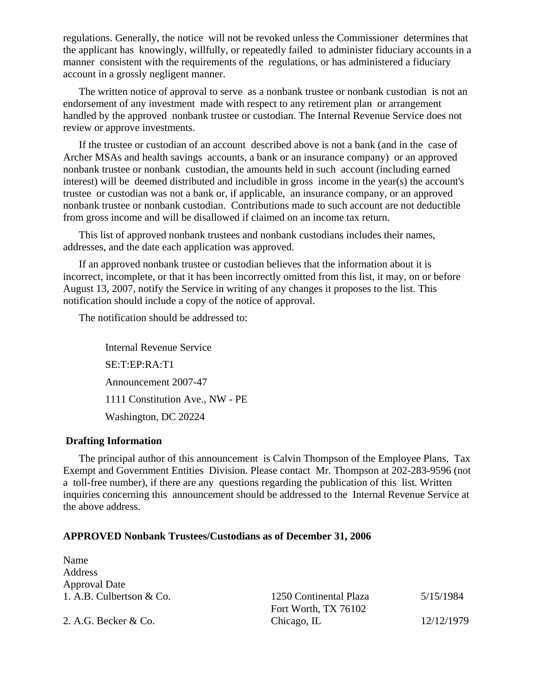regulations. Generally, the notice will not be revoked unless the Commissioner determines that the applicant has knowingly, willfully, or repeatedly failed to administer fiduciary accounts in a manner consistent with the requirements of the regulations, or has administered a fiduciary account in a grossly negligent manner.

The written notice of approval to serve as a nonbank trustee or nonbank custodian is not an endorsement of any investment made with respect to any retirement plan or arrangement handled by the approved nonbank trustee or custodian. The Internal Revenue Service does not review or approve investments.

If the trustee or custodian of an account described above is not a bank (and in the case of Archer MSAs and health savings accounts, a bank or an insurance company) or an approved nonbank trustee or nonbank custodian, the amounts held in such account (including earned interest) will be deemed distributed and includible in gross income in the year(s) the account's trustee or custodian was not a bank or, if applicable, an insurance company, or an approved nonbank trustee or nonbank custodian. Contributions made to such account are not deductible from gross income and will be disallowed if claimed on an income tax return.

This list of approved nonbank trustees and nonbank custodians includes their names, addresses, and the date each application was approved.

If an approved nonbank trustee or custodian believes that the information about it is incorrect, incomplete, or that it has been incorrectly omitted from this list, it may, on or before August 13, 2007, notify the Service in writing of any changes it proposes to the list. This notification should include a copy of the notice of approval.

The notification should be addressed to:

Internal Revenue Service SE:T:EP:RA:T1 Announcement 2007-47 1111 Constitution Ave., NW - PE Washington, DC 20224

#### **Drafting Information**

The principal author of this announcement is Calvin Thompson of the Employee Plans, Tax Exempt and Government Entities Division. Please contact Mr. Thompson at 202-283-9596 (not a toll-free number), if there are any questions regarding the publication of this list. Written inquiries concerning this announcement should be addressed to the Internal Revenue Service at the above address.

| Name                     |                        |            |
|--------------------------|------------------------|------------|
| Address                  |                        |            |
| <b>Approval Date</b>     |                        |            |
| 1. A.B. Culbertson & Co. | 1250 Continental Plaza | 5/15/1984  |
|                          | Fort Worth, TX 76102   |            |
| 2. A.G. Becker & Co.     | Chicago, IL            | 12/12/1979 |
|                          |                        |            |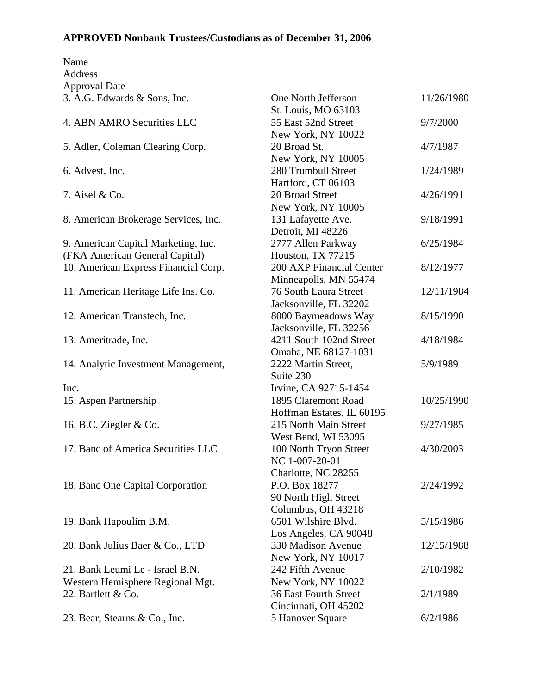| Name                                 |                              |            |
|--------------------------------------|------------------------------|------------|
| Address                              |                              |            |
| <b>Approval Date</b>                 |                              |            |
| 3. A.G. Edwards & Sons, Inc.         | One North Jefferson          | 11/26/1980 |
|                                      | St. Louis, MO 63103          |            |
| 4. ABN AMRO Securities LLC           | 55 East 52nd Street          | 9/7/2000   |
|                                      | New York, NY 10022           |            |
| 5. Adler, Coleman Clearing Corp.     | 20 Broad St.                 | 4/7/1987   |
|                                      | New York, NY 10005           |            |
| 6. Advest, Inc.                      | 280 Trumbull Street          | 1/24/1989  |
|                                      | Hartford, CT 06103           |            |
| 7. Aisel & Co.                       | 20 Broad Street              | 4/26/1991  |
|                                      | New York, NY 10005           |            |
| 8. American Brokerage Services, Inc. | 131 Lafayette Ave.           | 9/18/1991  |
|                                      | Detroit, MI 48226            |            |
| 9. American Capital Marketing, Inc.  | 2777 Allen Parkway           | 6/25/1984  |
| (FKA American General Capital)       | Houston, TX 77215            |            |
| 10. American Express Financial Corp. | 200 AXP Financial Center     | 8/12/1977  |
|                                      | Minneapolis, MN 55474        |            |
| 11. American Heritage Life Ins. Co.  | <b>76 South Laura Street</b> | 12/11/1984 |
|                                      | Jacksonville, FL 32202       |            |
| 12. American Transtech, Inc.         | 8000 Baymeadows Way          | 8/15/1990  |
|                                      | Jacksonville, FL 32256       |            |
| 13. Ameritrade, Inc.                 | 4211 South 102nd Street      | 4/18/1984  |
|                                      | Omaha, NE 68127-1031         |            |
| 14. Analytic Investment Management,  | 2222 Martin Street,          | 5/9/1989   |
|                                      | Suite 230                    |            |
| Inc.                                 | Irvine, CA 92715-1454        |            |
| 15. Aspen Partnership                | 1895 Claremont Road          | 10/25/1990 |
|                                      | Hoffman Estates, IL 60195    |            |
| 16. B.C. Ziegler & Co.               | 215 North Main Street        | 9/27/1985  |
|                                      | West Bend, WI 53095          |            |
| 17. Banc of America Securities LLC   | 100 North Tryon Street       | 4/30/2003  |
|                                      | NC 1-007-20-01               |            |
|                                      | Charlotte, NC 28255          |            |
| 18. Banc One Capital Corporation     | P.O. Box 18277               | 2/24/1992  |
|                                      | 90 North High Street         |            |
|                                      | Columbus, OH 43218           |            |
| 19. Bank Hapoulim B.M.               | 6501 Wilshire Blvd.          | 5/15/1986  |
|                                      | Los Angeles, CA 90048        |            |
| 20. Bank Julius Baer & Co., LTD      | 330 Madison Avenue           | 12/15/1988 |
|                                      | New York, NY 10017           |            |
| 21. Bank Leumi Le - Israel B.N.      | 242 Fifth Avenue             | 2/10/1982  |
| Western Hemisphere Regional Mgt.     | New York, NY 10022           |            |
| 22. Bartlett & Co.                   | <b>36 East Fourth Street</b> | 2/1/1989   |
|                                      | Cincinnati, OH 45202         |            |
| 23. Bear, Stearns & Co., Inc.        | 5 Hanover Square             | 6/2/1986   |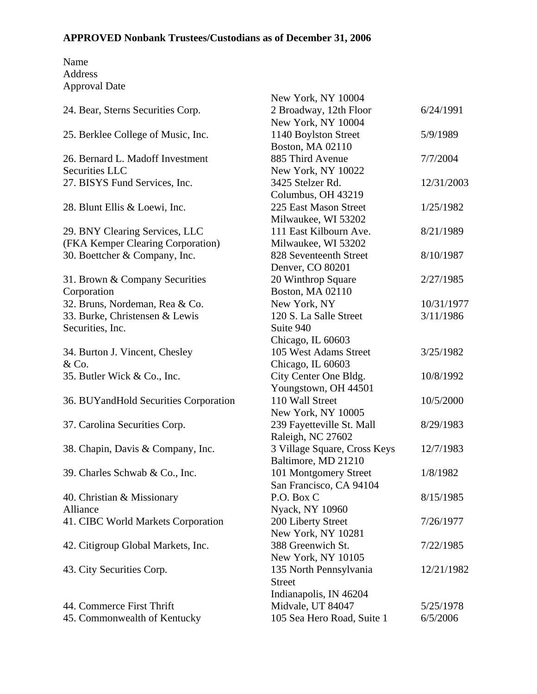|                                         | New York, NY 10004           |            |
|-----------------------------------------|------------------------------|------------|
| 24. Bear, Sterns Securities Corp.       | 2 Broadway, 12th Floor       | 6/24/1991  |
|                                         | New York, NY 10004           |            |
| 25. Berklee College of Music, Inc.      | 1140 Boylston Street         | 5/9/1989   |
|                                         | <b>Boston, MA 02110</b>      |            |
| 26. Bernard L. Madoff Investment        | 885 Third Avenue             | 7/7/2004   |
| Securities LLC                          | New York, NY 10022           |            |
| 27. BISYS Fund Services, Inc.           | 3425 Stelzer Rd.             | 12/31/2003 |
|                                         | Columbus, OH 43219           |            |
| 28. Blunt Ellis & Loewi, Inc.           | 225 East Mason Street        | 1/25/1982  |
|                                         | Milwaukee, WI 53202          |            |
| 29. BNY Clearing Services, LLC          | 111 East Kilbourn Ave.       | 8/21/1989  |
| (FKA Kemper Clearing Corporation)       | Milwaukee, WI 53202          |            |
| 30. Boettcher & Company, Inc.           | 828 Seventeenth Street       | 8/10/1987  |
|                                         | Denver, CO 80201             |            |
| 31. Brown & Company Securities          | 20 Winthrop Square           | 2/27/1985  |
| Corporation                             | <b>Boston, MA 02110</b>      |            |
| 32. Bruns, Nordeman, Rea & Co.          | New York, NY                 | 10/31/1977 |
| 33. Burke, Christensen & Lewis          | 120 S. La Salle Street       | 3/11/1986  |
| Securities, Inc.                        | Suite 940                    |            |
|                                         | Chicago, IL 60603            |            |
| 34. Burton J. Vincent, Chesley          | 105 West Adams Street        | 3/25/1982  |
| & Co.                                   | Chicago, IL 60603            |            |
| 35. Butler Wick & Co., Inc.             | City Center One Bldg.        | 10/8/1992  |
|                                         | Youngstown, OH 44501         |            |
| 36. BUY and Hold Securities Corporation | 110 Wall Street              | 10/5/2000  |
|                                         | New York, NY 10005           |            |
| 37. Carolina Securities Corp.           | 239 Fayetteville St. Mall    | 8/29/1983  |
|                                         | Raleigh, NC 27602            |            |
| 38. Chapin, Davis & Company, Inc.       | 3 Village Square, Cross Keys | 12/7/1983  |
|                                         | Baltimore, MD 21210          |            |
| 39. Charles Schwab & Co., Inc.          | 101 Montgomery Street        | 1/8/1982   |
|                                         | San Francisco, CA 94104      |            |
| 40. Christian & Missionary              | P.O. Box C                   | 8/15/1985  |
| Alliance                                | Nyack, NY 10960              |            |
| 41. CIBC World Markets Corporation      | 200 Liberty Street           | 7/26/1977  |
|                                         | New York, NY 10281           |            |
| 42. Citigroup Global Markets, Inc.      | 388 Greenwich St.            | 7/22/1985  |
|                                         | New York, NY 10105           |            |
| 43. City Securities Corp.               | 135 North Pennsylvania       | 12/21/1982 |
|                                         | <b>Street</b>                |            |
|                                         | Indianapolis, IN 46204       |            |
| 44. Commerce First Thrift               | Midvale, UT 84047            | 5/25/1978  |
| 45. Commonwealth of Kentucky            | 105 Sea Hero Road, Suite 1   | 6/5/2006   |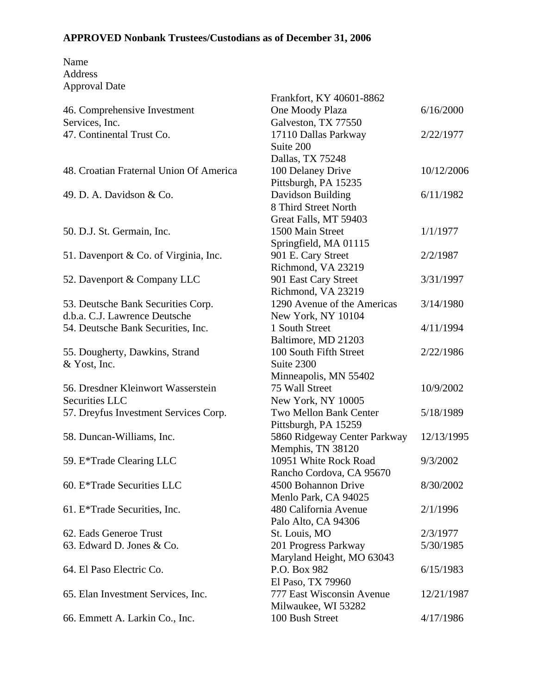|                                         | Frankfort, KY 40601-8862     |            |
|-----------------------------------------|------------------------------|------------|
| 46. Comprehensive Investment            | One Moody Plaza              | 6/16/2000  |
| Services, Inc.                          | Galveston, TX 77550          |            |
| 47. Continental Trust Co.               | 17110 Dallas Parkway         | 2/22/1977  |
|                                         | Suite 200                    |            |
|                                         | Dallas, TX 75248             |            |
| 48. Croatian Fraternal Union Of America | 100 Delaney Drive            | 10/12/2006 |
|                                         | Pittsburgh, PA 15235         |            |
| 49. D. A. Davidson & Co.                | Davidson Building            | 6/11/1982  |
|                                         | 8 Third Street North         |            |
|                                         | Great Falls, MT 59403        |            |
| 50. D.J. St. Germain, Inc.              | 1500 Main Street             | 1/1/1977   |
|                                         | Springfield, MA 01115        |            |
| 51. Davenport & Co. of Virginia, Inc.   | 901 E. Cary Street           | 2/2/1987   |
|                                         | Richmond, VA 23219           |            |
| 52. Davenport & Company LLC             | 901 East Cary Street         | 3/31/1997  |
|                                         | Richmond, VA 23219           |            |
| 53. Deutsche Bank Securities Corp.      | 1290 Avenue of the Americas  | 3/14/1980  |
| d.b.a. C.J. Lawrence Deutsche           | New York, NY 10104           |            |
| 54. Deutsche Bank Securities, Inc.      | 1 South Street               | 4/11/1994  |
|                                         | Baltimore, MD 21203          |            |
| 55. Dougherty, Dawkins, Strand          | 100 South Fifth Street       | 2/22/1986  |
| & Yost, Inc.                            | Suite 2300                   |            |
|                                         | Minneapolis, MN 55402        |            |
| 56. Dresdner Kleinwort Wasserstein      | 75 Wall Street               | 10/9/2002  |
| Securities LLC                          | New York, NY 10005           |            |
| 57. Dreyfus Investment Services Corp.   | Two Mellon Bank Center       | 5/18/1989  |
|                                         | Pittsburgh, PA 15259         |            |
| 58. Duncan-Williams, Inc.               | 5860 Ridgeway Center Parkway | 12/13/1995 |
|                                         | Memphis, TN 38120            |            |
| 59. E*Trade Clearing LLC                | 10951 White Rock Road        | 9/3/2002   |
|                                         | Rancho Cordova, CA 95670     |            |
| 60. E*Trade Securities LLC              | 4500 Bohannon Drive          | 8/30/2002  |
|                                         | Menlo Park, CA 94025         |            |
| 61. E*Trade Securities, Inc.            | 480 California Avenue        | 2/1/1996   |
|                                         | Palo Alto, CA 94306          |            |
| 62. Eads Generoe Trust                  | St. Louis, MO                | 2/3/1977   |
| 63. Edward D. Jones & Co.               | 201 Progress Parkway         | 5/30/1985  |
|                                         | Maryland Height, MO 63043    |            |
| 64. El Paso Electric Co.                | P.O. Box 982                 | 6/15/1983  |
|                                         | El Paso, TX 79960            |            |
| 65. Elan Investment Services, Inc.      | 777 East Wisconsin Avenue    | 12/21/1987 |
|                                         | Milwaukee, WI 53282          |            |
| 66. Emmett A. Larkin Co., Inc.          | 100 Bush Street              | 4/17/1986  |
|                                         |                              |            |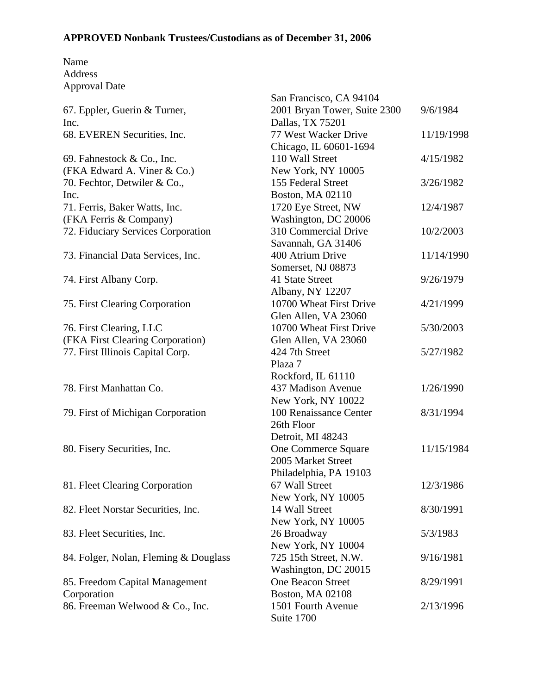|                                       | San Francisco, CA 94104      |            |
|---------------------------------------|------------------------------|------------|
| 67. Eppler, Guerin & Turner,          | 2001 Bryan Tower, Suite 2300 | 9/6/1984   |
| Inc.                                  | Dallas, TX 75201             |            |
| 68. EVEREN Securities, Inc.           | 77 West Wacker Drive         | 11/19/1998 |
|                                       | Chicago, IL 60601-1694       |            |
| 69. Fahnestock & Co., Inc.            | 110 Wall Street              | 4/15/1982  |
| (FKA Edward A. Viner & Co.)           | New York, NY 10005           |            |
| 70. Fechtor, Detwiler & Co.,          | 155 Federal Street           | 3/26/1982  |
| Inc.                                  | <b>Boston, MA 02110</b>      |            |
| 71. Ferris, Baker Watts, Inc.         | 1720 Eye Street, NW          | 12/4/1987  |
| (FKA Ferris & Company)                | Washington, DC 20006         |            |
| 72. Fiduciary Services Corporation    | 310 Commercial Drive         | 10/2/2003  |
|                                       | Savannah, GA 31406           |            |
| 73. Financial Data Services, Inc.     | 400 Atrium Drive             | 11/14/1990 |
|                                       | Somerset, NJ 08873           |            |
| 74. First Albany Corp.                | 41 State Street              | 9/26/1979  |
|                                       | Albany, NY 12207             |            |
| 75. First Clearing Corporation        | 10700 Wheat First Drive      | 4/21/1999  |
|                                       | Glen Allen, VA 23060         |            |
| 76. First Clearing, LLC               | 10700 Wheat First Drive      | 5/30/2003  |
| (FKA First Clearing Corporation)      | Glen Allen, VA 23060         |            |
| 77. First Illinois Capital Corp.      | 424 7th Street               | 5/27/1982  |
|                                       | Plaza 7                      |            |
|                                       | Rockford, IL 61110           |            |
| 78. First Manhattan Co.               | 437 Madison Avenue           | 1/26/1990  |
|                                       | New York, NY 10022           |            |
| 79. First of Michigan Corporation     | 100 Renaissance Center       | 8/31/1994  |
|                                       | 26th Floor                   |            |
|                                       | Detroit, MI 48243            |            |
| 80. Fisery Securities, Inc.           | One Commerce Square          | 11/15/1984 |
|                                       | 2005 Market Street           |            |
|                                       | Philadelphia, PA 19103       |            |
| 81. Fleet Clearing Corporation        | 67 Wall Street               | 12/3/1986  |
|                                       | New York, NY 10005           |            |
| 82. Fleet Norstar Securities, Inc.    | 14 Wall Street               | 8/30/1991  |
|                                       | New York, NY 10005           |            |
| 83. Fleet Securities, Inc.            | 26 Broadway                  | 5/3/1983   |
|                                       | New York, NY 10004           |            |
| 84. Folger, Nolan, Fleming & Douglass | 725 15th Street, N.W.        | 9/16/1981  |
|                                       | Washington, DC 20015         |            |
| 85. Freedom Capital Management        | <b>One Beacon Street</b>     | 8/29/1991  |
| Corporation                           | Boston, MA 02108             |            |
| 86. Freeman Welwood & Co., Inc.       | 1501 Fourth Avenue           | 2/13/1996  |
|                                       | Suite 1700                   |            |
|                                       |                              |            |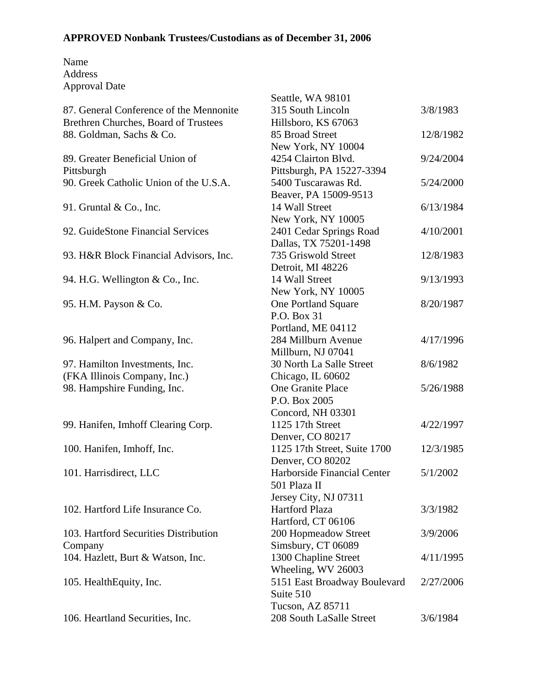|                                         | Seattle, WA 98101            |           |
|-----------------------------------------|------------------------------|-----------|
| 87. General Conference of the Mennonite | 315 South Lincoln            | 3/8/1983  |
| Brethren Churches, Board of Trustees    | Hillsboro, KS 67063          |           |
| 88. Goldman, Sachs & Co.                | 85 Broad Street              | 12/8/1982 |
|                                         | New York, NY 10004           |           |
| 89. Greater Beneficial Union of         | 4254 Clairton Blvd.          | 9/24/2004 |
| Pittsburgh                              | Pittsburgh, PA 15227-3394    |           |
| 90. Greek Catholic Union of the U.S.A.  | 5400 Tuscarawas Rd.          | 5/24/2000 |
|                                         | Beaver, PA 15009-9513        |           |
| 91. Gruntal & Co., Inc.                 | 14 Wall Street               | 6/13/1984 |
|                                         | New York, NY 10005           |           |
| 92. GuideStone Financial Services       | 2401 Cedar Springs Road      | 4/10/2001 |
|                                         | Dallas, TX 75201-1498        |           |
|                                         | 735 Griswold Street          | 12/8/1983 |
| 93. H&R Block Financial Advisors, Inc.  |                              |           |
|                                         | Detroit, MI 48226            |           |
| 94. H.G. Wellington & Co., Inc.         | 14 Wall Street               | 9/13/1993 |
|                                         | New York, NY 10005           |           |
| 95. H.M. Payson & Co.                   | One Portland Square          | 8/20/1987 |
|                                         | P.O. Box 31                  |           |
|                                         | Portland, ME 04112           |           |
| 96. Halpert and Company, Inc.           | 284 Millburn Avenue          | 4/17/1996 |
|                                         | Millburn, NJ 07041           |           |
| 97. Hamilton Investments, Inc.          | 30 North La Salle Street     | 8/6/1982  |
| (FKA Illinois Company, Inc.)            | Chicago, IL 60602            |           |
| 98. Hampshire Funding, Inc.             | One Granite Place            | 5/26/1988 |
|                                         | P.O. Box 2005                |           |
|                                         | Concord, NH 03301            |           |
| 99. Hanifen, Imhoff Clearing Corp.      | 1125 17th Street             | 4/22/1997 |
|                                         | Denver, CO 80217             |           |
| 100. Hanifen, Imhoff, Inc.              | 1125 17th Street, Suite 1700 | 12/3/1985 |
|                                         | Denver, CO 80202             |           |
| 101. Harrisdirect, LLC                  | Harborside Financial Center  | 5/1/2002  |
|                                         | 501 Plaza II                 |           |
|                                         | Jersey City, NJ 07311        |           |
| 102. Hartford Life Insurance Co.        | <b>Hartford Plaza</b>        | 3/3/1982  |
|                                         | Hartford, CT 06106           |           |
| 103. Hartford Securities Distribution   | 200 Hopmeadow Street         | 3/9/2006  |
| Company                                 | Simsbury, CT 06089           |           |
| 104. Hazlett, Burt & Watson, Inc.       | 1300 Chapline Street         | 4/11/1995 |
|                                         | Wheeling, WV 26003           |           |
| 105. HealthEquity, Inc.                 | 5151 East Broadway Boulevard | 2/27/2006 |
|                                         | Suite 510                    |           |
|                                         | Tucson, AZ 85711             |           |
| 106. Heartland Securities, Inc.         | 208 South LaSalle Street     | 3/6/1984  |
|                                         |                              |           |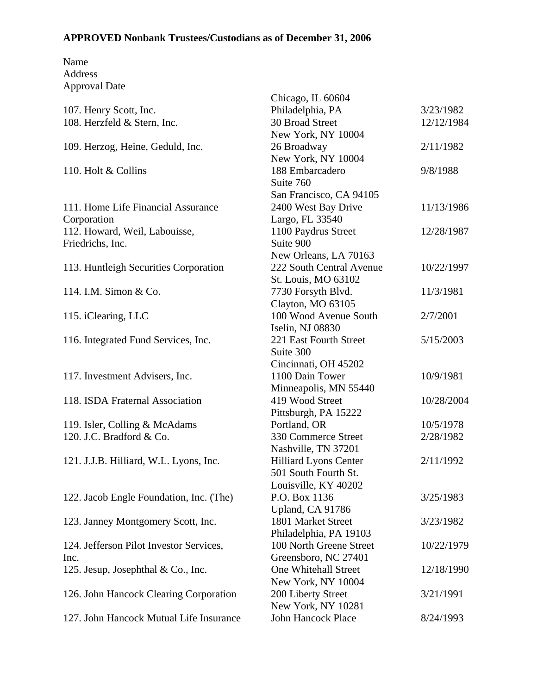| Name                 |  |
|----------------------|--|
| Address              |  |
| <b>Approval Date</b> |  |

|                                         | Chicago, IL 60604        |            |
|-----------------------------------------|--------------------------|------------|
| 107. Henry Scott, Inc.                  | Philadelphia, PA         | 3/23/1982  |
| 108. Herzfeld & Stern, Inc.             | 30 Broad Street          | 12/12/1984 |
|                                         | New York, NY 10004       |            |
| 109. Herzog, Heine, Geduld, Inc.        | 26 Broadway              | 2/11/1982  |
|                                         | New York, NY 10004       |            |
| 110. Holt & Collins                     | 188 Embarcadero          | 9/8/1988   |
|                                         | Suite 760                |            |
|                                         | San Francisco, CA 94105  |            |
| 111. Home Life Financial Assurance      | 2400 West Bay Drive      | 11/13/1986 |
| Corporation                             | Largo, FL 33540          |            |
| 112. Howard, Weil, Labouisse,           | 1100 Paydrus Street      | 12/28/1987 |
| Friedrichs, Inc.                        | Suite 900                |            |
|                                         | New Orleans, LA 70163    |            |
| 113. Huntleigh Securities Corporation   | 222 South Central Avenue | 10/22/1997 |
|                                         | St. Louis, MO 63102      |            |
| 114. I.M. Simon & Co.                   | 7730 Forsyth Blvd.       | 11/3/1981  |
|                                         | Clayton, MO 63105        |            |
| 115. iClearing, LLC                     | 100 Wood Avenue South    | 2/7/2001   |
|                                         | Iselin, NJ 08830         |            |
| 116. Integrated Fund Services, Inc.     | 221 East Fourth Street   | 5/15/2003  |
|                                         | Suite 300                |            |
|                                         | Cincinnati, OH 45202     |            |
| 117. Investment Advisers, Inc.          | 1100 Dain Tower          | 10/9/1981  |
|                                         | Minneapolis, MN 55440    |            |
| 118. ISDA Fraternal Association         | 419 Wood Street          | 10/28/2004 |
|                                         | Pittsburgh, PA 15222     |            |
| 119. Isler, Colling & McAdams           | Portland, OR             | 10/5/1978  |
| 120. J.C. Bradford & Co.                | 330 Commerce Street      | 2/28/1982  |
|                                         | Nashville, TN 37201      |            |
| 121. J.J.B. Hilliard, W.L. Lyons, Inc.  | Hilliard Lyons Center    | 2/11/1992  |
|                                         | 501 South Fourth St.     |            |
|                                         | Louisville, KY 40202     |            |
| 122. Jacob Engle Foundation, Inc. (The) | P.O. Box 1136            | 3/25/1983  |
|                                         | Upland, CA 91786         |            |
| 123. Janney Montgomery Scott, Inc.      | 1801 Market Street       | 3/23/1982  |
|                                         | Philadelphia, PA 19103   |            |
| 124. Jefferson Pilot Investor Services, | 100 North Greene Street  | 10/22/1979 |
| Inc.                                    | Greensboro, NC 27401     |            |
| 125. Jesup, Josephthal & Co., Inc.      | One Whitehall Street     | 12/18/1990 |
|                                         | New York, NY 10004       |            |
| 126. John Hancock Clearing Corporation  | 200 Liberty Street       | 3/21/1991  |
|                                         | New York, NY 10281       |            |
| 127. John Hancock Mutual Life Insurance | John Hancock Place       | 8/24/1993  |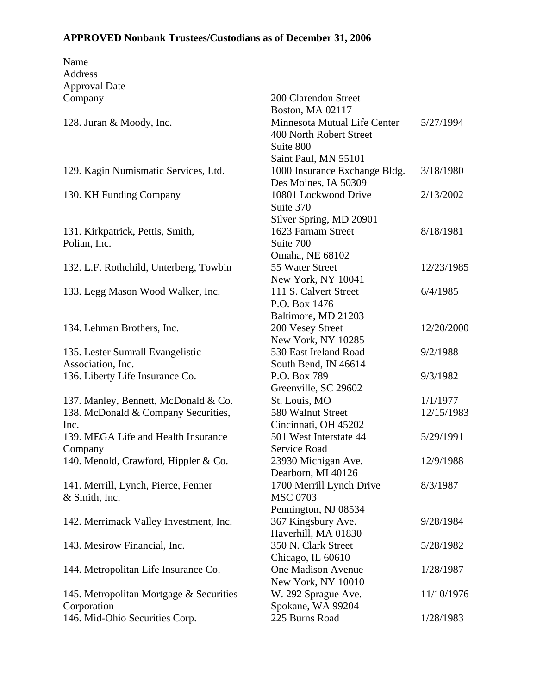| Name                                    |                                          |            |
|-----------------------------------------|------------------------------------------|------------|
| Address                                 |                                          |            |
| <b>Approval Date</b>                    |                                          |            |
| Company                                 | 200 Clarendon Street                     |            |
|                                         | Boston, MA 02117                         |            |
| 128. Juran & Moody, Inc.                | Minnesota Mutual Life Center             | 5/27/1994  |
|                                         | 400 North Robert Street                  |            |
|                                         | Suite 800                                |            |
|                                         | Saint Paul, MN 55101                     |            |
| 129. Kagin Numismatic Services, Ltd.    | 1000 Insurance Exchange Bldg.            | 3/18/1980  |
|                                         | Des Moines, IA 50309                     |            |
| 130. KH Funding Company                 | 10801 Lockwood Drive                     | 2/13/2002  |
|                                         | Suite 370                                |            |
|                                         | Silver Spring, MD 20901                  |            |
| 131. Kirkpatrick, Pettis, Smith,        | 1623 Farnam Street                       | 8/18/1981  |
| Polian, Inc.                            | Suite 700                                |            |
|                                         | Omaha, NE 68102                          |            |
| 132. L.F. Rothchild, Unterberg, Towbin  | 55 Water Street                          | 12/23/1985 |
|                                         | New York, NY 10041                       |            |
| 133. Legg Mason Wood Walker, Inc.       | 111 S. Calvert Street                    | 6/4/1985   |
|                                         | P.O. Box 1476                            |            |
|                                         | Baltimore, MD 21203                      |            |
| 134. Lehman Brothers, Inc.              | 200 Vesey Street                         | 12/20/2000 |
|                                         | New York, NY 10285                       |            |
| 135. Lester Sumrall Evangelistic        | 530 East Ireland Road                    | 9/2/1988   |
| Association, Inc.                       | South Bend, IN 46614                     |            |
| 136. Liberty Life Insurance Co.         | P.O. Box 789                             | 9/3/1982   |
|                                         | Greenville, SC 29602                     |            |
| 137. Manley, Bennett, McDonald & Co.    | St. Louis, MO                            | 1/1/1977   |
| 138. McDonald & Company Securities,     | 580 Walnut Street                        | 12/15/1983 |
| Inc.                                    | Cincinnati, OH 45202                     |            |
| 139. MEGA Life and Health Insurance     | 501 West Interstate 44                   | 5/29/1991  |
| Company                                 | Service Road                             |            |
| 140. Menold, Crawford, Hippler & Co.    | 23930 Michigan Ave.                      | 12/9/1988  |
|                                         | Dearborn, MI 40126                       |            |
| 141. Merrill, Lynch, Pierce, Fenner     | 1700 Merrill Lynch Drive                 | 8/3/1987   |
| & Smith, Inc.                           | <b>MSC 0703</b>                          |            |
|                                         | Pennington, NJ 08534                     |            |
| 142. Merrimack Valley Investment, Inc.  | 367 Kingsbury Ave.                       | 9/28/1984  |
|                                         | Haverhill, MA 01830                      |            |
| 143. Mesirow Financial, Inc.            | 350 N. Clark Street                      | 5/28/1982  |
|                                         | Chicago, IL 60610                        |            |
|                                         | One Madison Avenue                       | 1/28/1987  |
| 144. Metropolitan Life Insurance Co.    | New York, NY 10010                       |            |
|                                         |                                          | 11/10/1976 |
| 145. Metropolitan Mortgage & Securities | W. 292 Sprague Ave.<br>Spokane, WA 99204 |            |
| Corporation                             |                                          |            |
| 146. Mid-Ohio Securities Corp.          | 225 Burns Road                           | 1/28/1983  |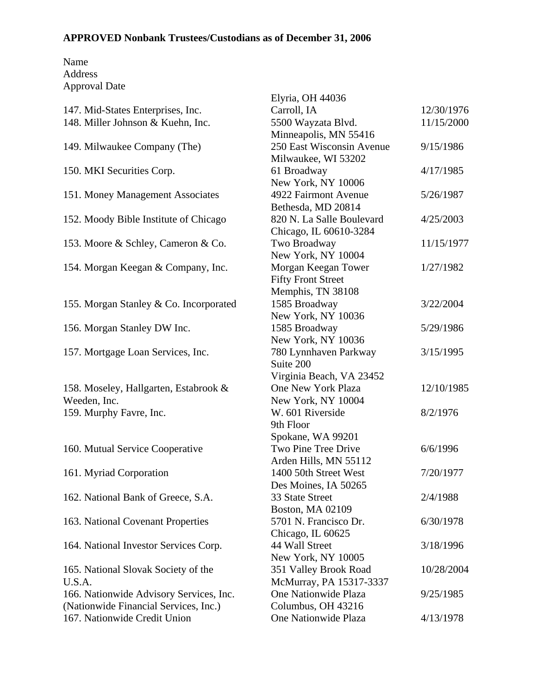|                                         | Elyria, OH 44036          |            |
|-----------------------------------------|---------------------------|------------|
| 147. Mid-States Enterprises, Inc.       | Carroll, IA               | 12/30/1976 |
| 148. Miller Johnson & Kuehn, Inc.       | 5500 Wayzata Blvd.        | 11/15/2000 |
|                                         | Minneapolis, MN 55416     |            |
| 149. Milwaukee Company (The)            | 250 East Wisconsin Avenue | 9/15/1986  |
|                                         | Milwaukee, WI 53202       |            |
| 150. MKI Securities Corp.               | 61 Broadway               | 4/17/1985  |
|                                         | New York, NY 10006        |            |
| 151. Money Management Associates        | 4922 Fairmont Avenue      | 5/26/1987  |
|                                         | Bethesda, MD 20814        |            |
| 152. Moody Bible Institute of Chicago   | 820 N. La Salle Boulevard | 4/25/2003  |
|                                         | Chicago, IL 60610-3284    |            |
| 153. Moore & Schley, Cameron & Co.      | Two Broadway              | 11/15/1977 |
|                                         | New York, NY 10004        |            |
| 154. Morgan Keegan & Company, Inc.      | Morgan Keegan Tower       | 1/27/1982  |
|                                         | <b>Fifty Front Street</b> |            |
|                                         | Memphis, TN 38108         |            |
| 155. Morgan Stanley & Co. Incorporated  | 1585 Broadway             | 3/22/2004  |
|                                         | New York, NY 10036        |            |
| 156. Morgan Stanley DW Inc.             | 1585 Broadway             | 5/29/1986  |
|                                         | New York, NY 10036        |            |
| 157. Mortgage Loan Services, Inc.       | 780 Lynnhaven Parkway     | 3/15/1995  |
|                                         | Suite 200                 |            |
|                                         | Virginia Beach, VA 23452  |            |
| 158. Moseley, Hallgarten, Estabrook &   | One New York Plaza        | 12/10/1985 |
| Weeden, Inc.                            | New York, NY 10004        |            |
| 159. Murphy Favre, Inc.                 | W. 601 Riverside          | 8/2/1976   |
|                                         | 9th Floor                 |            |
|                                         | Spokane, WA 99201         |            |
| 160. Mutual Service Cooperative         | Two Pine Tree Drive       | 6/6/1996   |
|                                         | Arden Hills, MN 55112     |            |
| 161. Myriad Corporation                 | 1400 50th Street West     | 7/20/1977  |
|                                         | Des Moines, IA 50265      |            |
| 162. National Bank of Greece, S.A.      | 33 State Street           | 2/4/1988   |
|                                         | Boston, MA 02109          |            |
| 163. National Covenant Properties       | 5701 N. Francisco Dr.     | 6/30/1978  |
|                                         | Chicago, IL 60625         |            |
| 164. National Investor Services Corp.   | 44 Wall Street            | 3/18/1996  |
|                                         | New York, NY 10005        |            |
| 165. National Slovak Society of the     | 351 Valley Brook Road     | 10/28/2004 |
| U.S.A.                                  | McMurray, PA 15317-3337   |            |
| 166. Nationwide Advisory Services, Inc. | One Nationwide Plaza      | 9/25/1985  |
| (Nationwide Financial Services, Inc.)   | Columbus, OH 43216        |            |
| 167. Nationwide Credit Union            | One Nationwide Plaza      | 4/13/1978  |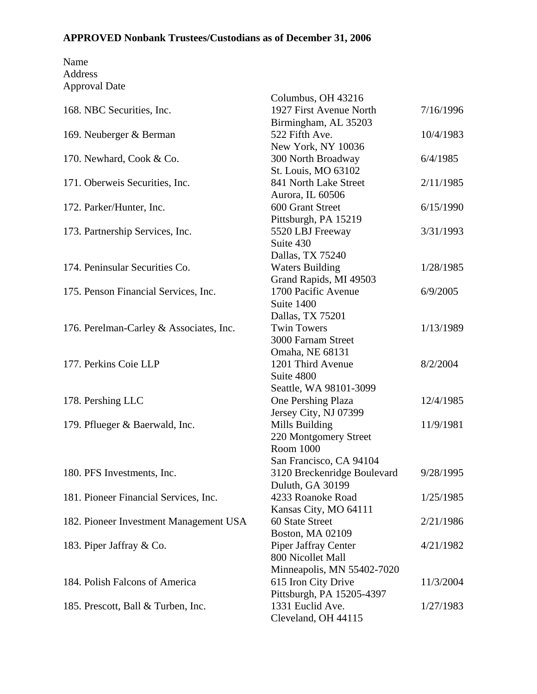|                                         | Columbus, OH 43216          |           |
|-----------------------------------------|-----------------------------|-----------|
| 168. NBC Securities, Inc.               | 1927 First Avenue North     | 7/16/1996 |
|                                         | Birmingham, AL 35203        |           |
| 169. Neuberger & Berman                 | 522 Fifth Ave.              | 10/4/1983 |
|                                         | New York, NY 10036          |           |
| 170. Newhard, Cook & Co.                | 300 North Broadway          | 6/4/1985  |
|                                         | St. Louis, MO 63102         |           |
| 171. Oberweis Securities, Inc.          | 841 North Lake Street       | 2/11/1985 |
|                                         | Aurora, IL 60506            |           |
| 172. Parker/Hunter, Inc.                | 600 Grant Street            | 6/15/1990 |
|                                         | Pittsburgh, PA 15219        |           |
| 173. Partnership Services, Inc.         | 5520 LBJ Freeway            | 3/31/1993 |
|                                         | Suite 430                   |           |
|                                         | Dallas, TX 75240            |           |
| 174. Peninsular Securities Co.          | <b>Waters Building</b>      | 1/28/1985 |
|                                         | Grand Rapids, MI 49503      |           |
| 175. Penson Financial Services, Inc.    | 1700 Pacific Avenue         | 6/9/2005  |
|                                         | Suite 1400                  |           |
|                                         | Dallas, TX 75201            |           |
| 176. Perelman-Carley & Associates, Inc. | <b>Twin Towers</b>          | 1/13/1989 |
|                                         | 3000 Farnam Street          |           |
|                                         | Omaha, NE 68131             |           |
| 177. Perkins Coie LLP                   | 1201 Third Avenue           | 8/2/2004  |
|                                         | Suite 4800                  |           |
|                                         | Seattle, WA 98101-3099      |           |
| 178. Pershing LLC                       | One Pershing Plaza          | 12/4/1985 |
|                                         | Jersey City, NJ 07399       |           |
| 179. Pflueger & Baerwald, Inc.          | Mills Building              | 11/9/1981 |
|                                         | 220 Montgomery Street       |           |
|                                         | Room 1000                   |           |
|                                         | San Francisco, CA 94104     |           |
| 180. PFS Investments, Inc.              | 3120 Breckenridge Boulevard | 9/28/1995 |
|                                         | Duluth, GA 30199            |           |
| 181. Pioneer Financial Services, Inc.   | 4233 Roanoke Road           | 1/25/1985 |
|                                         | Kansas City, MO 64111       |           |
| 182. Pioneer Investment Management USA  | 60 State Street             | 2/21/1986 |
|                                         | <b>Boston, MA 02109</b>     |           |
| 183. Piper Jaffray & Co.                | Piper Jaffray Center        | 4/21/1982 |
|                                         | 800 Nicollet Mall           |           |
|                                         | Minneapolis, MN 55402-7020  |           |
| 184. Polish Falcons of America          | 615 Iron City Drive         | 11/3/2004 |
|                                         | Pittsburgh, PA 15205-4397   |           |
| 185. Prescott, Ball & Turben, Inc.      | 1331 Euclid Ave.            | 1/27/1983 |
|                                         | Cleveland, OH 44115         |           |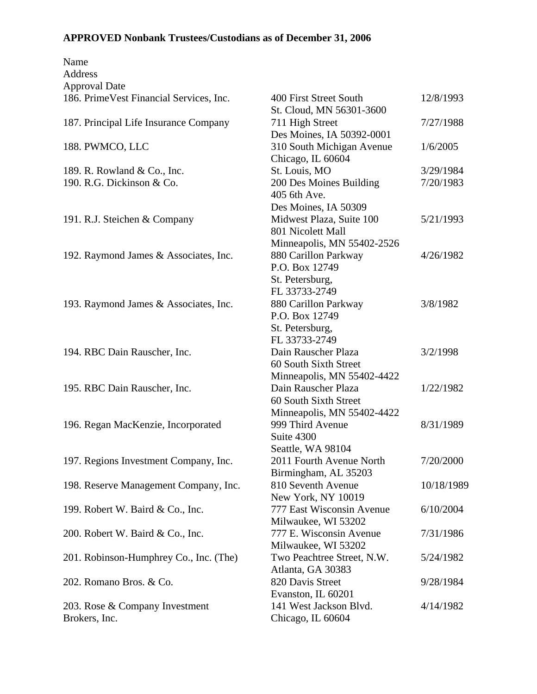| Name                                     |                            |            |
|------------------------------------------|----------------------------|------------|
| Address                                  |                            |            |
| <b>Approval Date</b>                     |                            |            |
| 186. Prime Vest Financial Services, Inc. | 400 First Street South     | 12/8/1993  |
|                                          | St. Cloud, MN 56301-3600   |            |
| 187. Principal Life Insurance Company    | 711 High Street            | 7/27/1988  |
|                                          | Des Moines, IA 50392-0001  |            |
| 188. PWMCO, LLC                          | 310 South Michigan Avenue  | 1/6/2005   |
|                                          | Chicago, IL 60604          |            |
| 189. R. Rowland & Co., Inc.              | St. Louis, MO              | 3/29/1984  |
| 190. R.G. Dickinson & Co.                | 200 Des Moines Building    | 7/20/1983  |
|                                          | 405 6th Ave.               |            |
|                                          | Des Moines, IA 50309       |            |
| 191. R.J. Steichen & Company             | Midwest Plaza, Suite 100   | 5/21/1993  |
|                                          | 801 Nicolett Mall          |            |
|                                          | Minneapolis, MN 55402-2526 |            |
| 192. Raymond James & Associates, Inc.    | 880 Carillon Parkway       | 4/26/1982  |
|                                          | P.O. Box 12749             |            |
|                                          | St. Petersburg,            |            |
|                                          | FL 33733-2749              |            |
| 193. Raymond James & Associates, Inc.    | 880 Carillon Parkway       | 3/8/1982   |
|                                          | P.O. Box 12749             |            |
|                                          | St. Petersburg,            |            |
|                                          | FL 33733-2749              |            |
| 194. RBC Dain Rauscher, Inc.             | Dain Rauscher Plaza        | 3/2/1998   |
|                                          | 60 South Sixth Street      |            |
|                                          | Minneapolis, MN 55402-4422 |            |
| 195. RBC Dain Rauscher, Inc.             | Dain Rauscher Plaza        | 1/22/1982  |
|                                          | 60 South Sixth Street      |            |
|                                          | Minneapolis, MN 55402-4422 |            |
| 196. Regan MacKenzie, Incorporated       | 999 Third Avenue           | 8/31/1989  |
|                                          | Suite 4300                 |            |
|                                          | Seattle, WA 98104          |            |
| 197. Regions Investment Company, Inc.    | 2011 Fourth Avenue North   | 7/20/2000  |
|                                          | Birmingham, AL 35203       |            |
| 198. Reserve Management Company, Inc.    | 810 Seventh Avenue         | 10/18/1989 |
|                                          | New York, NY 10019         |            |
| 199. Robert W. Baird & Co., Inc.         | 777 East Wisconsin Avenue  | 6/10/2004  |
|                                          | Milwaukee, WI 53202        |            |
| 200. Robert W. Baird & Co., Inc.         | 777 E. Wisconsin Avenue    | 7/31/1986  |
|                                          | Milwaukee, WI 53202        |            |
| 201. Robinson-Humphrey Co., Inc. (The)   | Two Peachtree Street, N.W. | 5/24/1982  |
|                                          | Atlanta, GA 30383          |            |
| 202. Romano Bros. & Co.                  | 820 Davis Street           | 9/28/1984  |
|                                          | Evanston, IL 60201         |            |
| 203. Rose & Company Investment           | 141 West Jackson Blvd.     | 4/14/1982  |
| Brokers, Inc.                            | Chicago, IL 60604          |            |
|                                          |                            |            |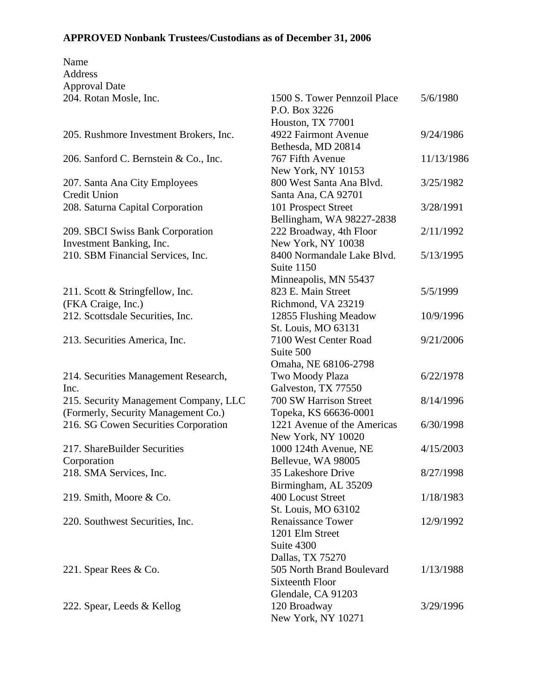| Name                                   |                              |            |
|----------------------------------------|------------------------------|------------|
| Address                                |                              |            |
| <b>Approval Date</b>                   |                              |            |
| 204. Rotan Mosle, Inc.                 | 1500 S. Tower Pennzoil Place | 5/6/1980   |
|                                        | P.O. Box 3226                |            |
|                                        | Houston, TX 77001            |            |
| 205. Rushmore Investment Brokers, Inc. | 4922 Fairmont Avenue         | 9/24/1986  |
|                                        | Bethesda, MD 20814           |            |
| 206. Sanford C. Bernstein & Co., Inc.  | 767 Fifth Avenue             | 11/13/1986 |
|                                        | New York, NY 10153           |            |
| 207. Santa Ana City Employees          | 800 West Santa Ana Blyd.     | 3/25/1982  |
| <b>Credit Union</b>                    | Santa Ana, CA 92701          |            |
| 208. Saturna Capital Corporation       | 101 Prospect Street          | 3/28/1991  |
|                                        | Bellingham, WA 98227-2838    |            |
| 209. SBCI Swiss Bank Corporation       | 222 Broadway, 4th Floor      | 2/11/1992  |
| Investment Banking, Inc.               | New York, NY 10038           |            |
| 210. SBM Financial Services, Inc.      | 8400 Normandale Lake Blvd.   | 5/13/1995  |
|                                        | Suite 1150                   |            |
|                                        | Minneapolis, MN 55437        |            |
| 211. Scott & Stringfellow, Inc.        | 823 E. Main Street           | 5/5/1999   |
| (FKA Craige, Inc.)                     | Richmond, VA 23219           |            |
| 212. Scottsdale Securities, Inc.       | 12855 Flushing Meadow        | 10/9/1996  |
|                                        | St. Louis, MO 63131          |            |
| 213. Securities America, Inc.          | 7100 West Center Road        | 9/21/2006  |
|                                        | Suite 500                    |            |
|                                        | Omaha, NE 68106-2798         |            |
| 214. Securities Management Research,   | Two Moody Plaza              | 6/22/1978  |
| Inc.                                   | Galveston, TX 77550          |            |
| 215. Security Management Company, LLC  | 700 SW Harrison Street       | 8/14/1996  |
| (Formerly, Security Management Co.)    | Topeka, KS 66636-0001        |            |
| 216. SG Cowen Securities Corporation   | 1221 Avenue of the Americas  | 6/30/1998  |
|                                        | New York, NY 10020           |            |
| 217. ShareBuilder Securities           | 1000 124th Avenue, NE        | 4/15/2003  |
| Corporation                            | Bellevue, WA 98005           |            |
| 218. SMA Services, Inc.                | 35 Lakeshore Drive           | 8/27/1998  |
|                                        | Birmingham, AL 35209         |            |
| 219. Smith, Moore & Co.                | 400 Locust Street            | 1/18/1983  |
|                                        | St. Louis, MO 63102          |            |
| 220. Southwest Securities, Inc.        | <b>Renaissance Tower</b>     | 12/9/1992  |
|                                        | 1201 Elm Street              |            |
|                                        | Suite 4300                   |            |
|                                        | Dallas, TX 75270             |            |
| 221. Spear Rees & Co.                  | 505 North Brand Boulevard    | 1/13/1988  |
|                                        | <b>Sixteenth Floor</b>       |            |
|                                        | Glendale, CA 91203           |            |
| 222. Spear, Leeds & Kellog             | 120 Broadway                 | 3/29/1996  |
|                                        | New York, NY 10271           |            |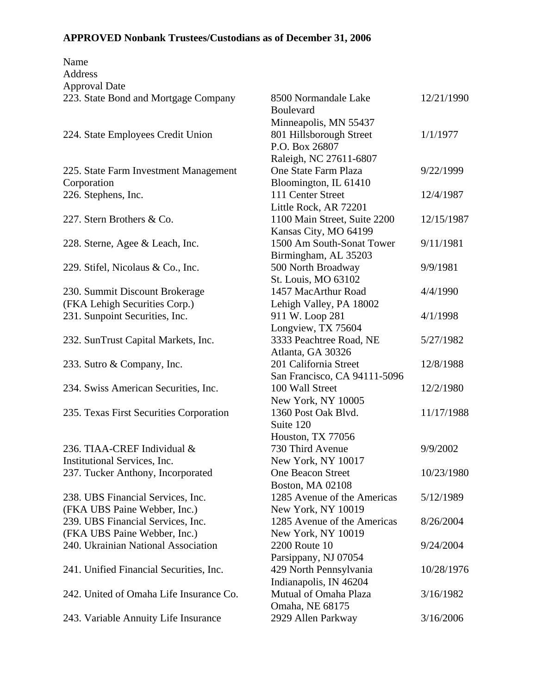| Name<br><b>Address</b>                  |                              |            |
|-----------------------------------------|------------------------------|------------|
| <b>Approval Date</b>                    |                              |            |
| 223. State Bond and Mortgage Company    | 8500 Normandale Lake         | 12/21/1990 |
|                                         | <b>Boulevard</b>             |            |
|                                         | Minneapolis, MN 55437        |            |
| 224. State Employees Credit Union       | 801 Hillsborough Street      | 1/1/1977   |
|                                         | P.O. Box 26807               |            |
|                                         | Raleigh, NC 27611-6807       |            |
| 225. State Farm Investment Management   | One State Farm Plaza         | 9/22/1999  |
| Corporation                             | Bloomington, IL 61410        |            |
| 226. Stephens, Inc.                     | 111 Center Street            | 12/4/1987  |
|                                         | Little Rock, AR 72201        |            |
| 227. Stern Brothers & Co.               | 1100 Main Street, Suite 2200 | 12/15/1987 |
|                                         | Kansas City, MO 64199        |            |
| 228. Sterne, Agee & Leach, Inc.         | 1500 Am South-Sonat Tower    | 9/11/1981  |
|                                         | Birmingham, AL 35203         |            |
| 229. Stifel, Nicolaus & Co., Inc.       | 500 North Broadway           | 9/9/1981   |
|                                         | St. Louis, MO 63102          |            |
| 230. Summit Discount Brokerage          | 1457 MacArthur Road          | 4/4/1990   |
| (FKA Lehigh Securities Corp.)           | Lehigh Valley, PA 18002      |            |
| 231. Sunpoint Securities, Inc.          | 911 W. Loop 281              | 4/1/1998   |
|                                         | Longview, TX 75604           |            |
| 232. SunTrust Capital Markets, Inc.     | 3333 Peachtree Road, NE      | 5/27/1982  |
|                                         | Atlanta, GA 30326            |            |
| 233. Sutro & Company, Inc.              | 201 California Street        | 12/8/1988  |
|                                         | San Francisco, CA 94111-5096 |            |
| 234. Swiss American Securities, Inc.    | 100 Wall Street              | 12/2/1980  |
|                                         | New York, NY 10005           |            |
| 235. Texas First Securities Corporation | 1360 Post Oak Blvd.          | 11/17/1988 |
|                                         | Suite 120                    |            |
|                                         | Houston, TX 77056            |            |
| 236. TIAA-CREF Individual &             | 730 Third Avenue             | 9/9/2002   |
| Institutional Services, Inc.            | New York, NY 10017           |            |
| 237. Tucker Anthony, Incorporated       | One Beacon Street            | 10/23/1980 |
|                                         | <b>Boston, MA 02108</b>      |            |
| 238. UBS Financial Services, Inc.       | 1285 Avenue of the Americas  | 5/12/1989  |
| (FKA UBS Paine Webber, Inc.)            | New York, NY 10019           |            |
| 239. UBS Financial Services, Inc.       | 1285 Avenue of the Americas  | 8/26/2004  |
| (FKA UBS Paine Webber, Inc.)            | New York, NY 10019           |            |
| 240. Ukrainian National Association     | 2200 Route 10                | 9/24/2004  |
| 241. Unified Financial Securities, Inc. | Parsippany, NJ 07054         |            |
|                                         | 429 North Pennsylvania       | 10/28/1976 |
|                                         | Indianapolis, IN 46204       |            |
| 242. United of Omaha Life Insurance Co. | Mutual of Omaha Plaza        | 3/16/1982  |
|                                         | Omaha, NE 68175              |            |
| 243. Variable Annuity Life Insurance    | 2929 Allen Parkway           | 3/16/2006  |